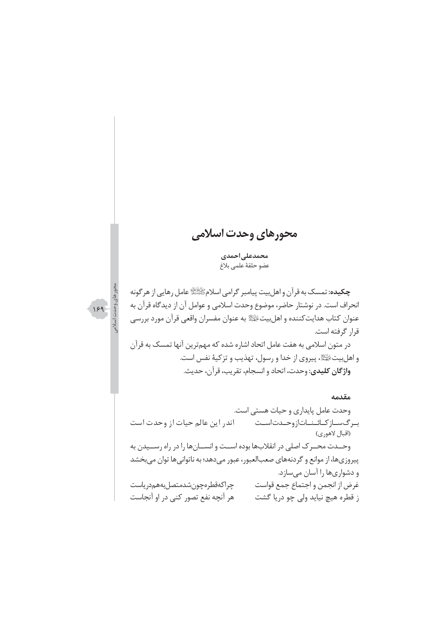# محورهاي وحدت اسلامي

محمدعلى احمدى عضو حلقهٔ علمی بلاغ



**چکیده:** تمسک به قرآن و اهل بیت پیامبر گرامی اسلامﷺ عامل رهایی از هرگونه انحراف است. در نوشتار حاضر، موضوع وحدت اسلامی و عوامل آن از دیدگاه قرآن به عنوان كتاب هدايتكننده و اهلبيت اليَّةِ به عنوان مفسران واقعي قرآن مورد بررسي قرار گرفته است.

در متون اسلامی به هفت عامل اتحاد اشاره شده که مهمترین آنها تمسک به قرآن و اهل بيت الطِّلاء پيروي از خدا و رسول، تهذيب و تزكيهٔ نفس است. واژگان كليدي: وحدت، اتحاد و انسجام، تقريب، قرآن، حديث.

مقدمه وحدت عامل پایداری و حیات هستی است. اندر این عالم حیات از وحدت است بىرگىسازكائىناتازوحىدتاست (اقبال لاهوري) وحــدت محــرک اصلی در انقلابها بوده اســت و انســانها را در راه رســيدن به ييروزي ها، از موانع و گردنههاي صعب العبور، عبور مي دهد؛ به ناتواني ها توان مي بخشد و دشواریها را آسان میسازد. چراكەقطرەچون شدمتصل بەھمەر پاست غرض از انجمن و اجتماع جمع قواست هر آنچه نفع تصور کنی در او آنجاست ز قطره هيچ نيايد ولي چو دريا گشت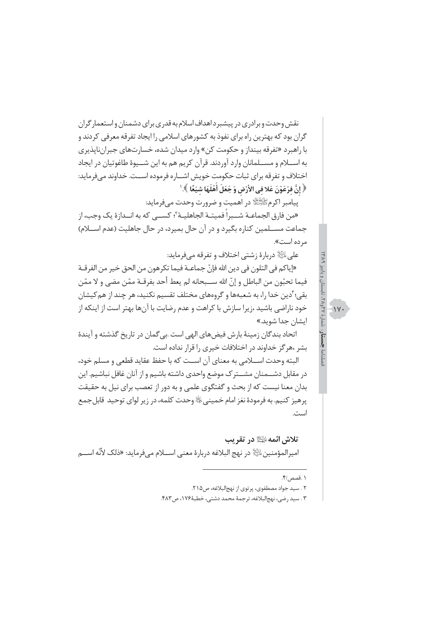نقش وحدت و برادری در پیشبر داهداف اسلام به قدری برای دشمنان و استعمار گران گران بود که بهترین راه برای نفوذ به کشورهای اسلامی را ایجاد تفرقه معرفی کردند و با راهبرد «تفرقه بینداز و حکومت کن» وارد میدان شده، خسارتهای جبراننایذیری به اســـلام و مســـلمانان وارد آوردند. قرآن کریم هم به این شـــیوهٔ طاغوتیان در ایجاد اختلاف و تفرقه برای ثبات حکومت خویش اشــاره فرموده اســت. خداوند میفرماید: ﴿ إِنَّ فَرْعَوْنَ عَلا في الأَرْضِ وَ جَعَلَ أَهْلَهَا شَيَعًا ﴾.'

پیامبر اکرمﷺ در اهمیت و ضرورت وحدت میفرماید:

«من فارق الجماعــة شــبراً فميتــة الجاهليــة<sup>٢</sup>؛ كســـى كه به انــدازهٔ يک وجب، از جماعت مســلمین کناره بگیرد و در آن حال بمیرد، در حال جاهلیت (عدم اســلام) مرده است».

علي ﷺ دربارۂ زشتي اختلاف و تفرقه مي فرمايد:

«إياكم في التلون في دين الله فإنّ جماعــة فيما تكرهون من الحق خير من الفرقــة فيما تحبّون من الباطل و إنّ الله ســبحانه لم يعط أحد بفرقــة ممّن مضى و لا ممّن بقی؛ ّدین خدا را، به شعبهها و گروههای مختلف تقسیم نکنید، هر چند از هم کیشان خود ناراضی باشید ،زیرا سازش با کراهت و عدم رضایت با آنها بهتر است از اینکه از ايشان جدا شويد.»

اتحاد بندگان زمینهٔ بارش فیضهای الهی است بی گمان در تاریخ گذشته و آیندهٔ بشر ،هرگز خداوند در اختلافات خیری را قرار نداده است.

البته وحدت اســـلامي به معناي آن اســت كه با حفظ عقايد قطعي و مسلم خود، در مقابل دشــمنان مشــترک موضع واحدی داشته باشیم و از آنان غافل نباشیم. این بدان معنا نیست که از بحث و گفتگوی علمی و به دور از تعصب برای نیل به حقیقت يرهيز كنيم. به فرمودهٔ نغز امام خميني ﷺ وحدت كلمه، در زير لواي توحيد قابل جمع است.

تلاش ائمه ﷺ در تقریب اميرالمؤمنين ﷺ در نهج البلاغه دربارة معنى اســـلام ميفر مايد: «ذلك لأنَّه اســـم

۱ .قصص /۴.

 $\sqrt{11}$ 

٢ . سيد جواد مصطفوى، پر توى از نهجالبلاغه، ص٢١۵.

٣ . سيد رضي، نهج|لبلاغه، ترجمة محمد دشتي، خطبة١٧۶، ص٤٨٣.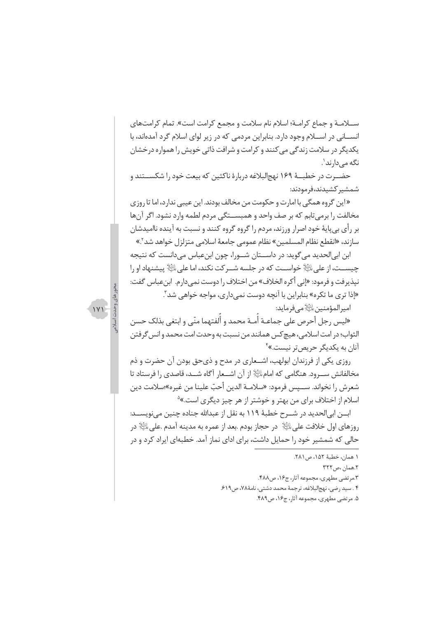ســلامــة و جماع كرامــة؛ اسلام نام سلامت و مجمع كرامت است». تمام كرامتهاى انســاني در اســلام وجود دارد. بنابراين مردمي كه در زير لواي اسلام گرد آمدهاند، با یکدیگر در سلامت زندگی می کنند و کرامت و شرافت ذاتی خویش را همواره درخشان نگه مے دارند'.

حضــرت در خطبــهٔ ۱۶۹ نهجالبلاغه دربارهٔ ناکثین که بیعت خود را شکســتند و شمشیر کشیدند،فرمودند:

«این گروه همگی با امارت و حکومت من مخالف بودند. این عیبی ندارد، اما تا روزی مخالفت را برمیتابم که بر صف واحد و همبســتگی مردم لطمه وارد نشود. اگر آنها بر رأى بي پايهٔ خود اصرار ورزند، مردم را گروه گروه كنند و نسبت به آينده نااميدشان سازند، «انقطع نظام المسلمين» نظام عمومي جامعهٔ اسلامي متزلزل خواهد شد<sup>٢</sup>.»

ابن ابیالحدید میگوید: در داســتان شــورا، چون ابنعباس میدانست که نتیجه حِيســت، از علي الثَّلاِ خواســت كه در جلسه شــر كت نكند، اما علي الثَّلاِ بِيشنهاد او را نيذيرفت و فرمود: «إني أكره الخلاف» من اختلاف را دوست نمي دارم. ابن عباس گفت: «إذا ترى ما تكره» بنابراين با آنچه دوست نمي دارى، مواجه خواهي شد". اميرالمؤمنين التَالِاهي فرمايد:

«ليس رجل أحرص على جماعـة أمـة محمد و ألفتهما منّى و ابتغى بذلك حسن الثواب؛ در امت اسلامي، هيچ كس همانند من نسبت به وحدت امت محمد و انس گرفتن آنان به یکدیگر حریصتر نیست.»<sup>۴</sup>

روزی یکی از فرزندان ابولهب، اشــعاری در مدح و ذیحق بودن آن حضرت و ذم مخالفانش ســرود. هنگامی که امام اللَّهِ از آن اشــعار آگاه شــد، قاصدی را فرستاد تا شعرش ,ا نخواند. ســيس فرمود: «سلامــة الدين أحبّ علينا من غيره»؛سلامت دين اسلام از اختلاف برای من بهتر و خوشتر از هر چیز دیگری است.»<sup>۵</sup>

ابـــن ابي|لحديد در شـــرح خطبهٔ ۱۱۹ به نقل از عبدالله جناده چنين مي;نويســـد: روزهای اول خلافت علی $\mathbb{P}^{\mathbb{R}}$  در حجاز بودم .بعد از عمره به مدینه آمدم .علی $\mathbb{P}^{\mathbb{R}}$  در حالی که شمشیر خود را حمایل داشت، برای ادای نماز آمد. خطبهای ایراد کرد و در

- ١ همان، خطبة ١٥٢، ص٢٨١.
	- ٢.همان ،ص ٣٢٢
- ٢.مرتضى مطهري، مجموعه آثار، ج١۶، ص٤٨٨.
- ۴ . سيد رضي، نهج|لبلاغه، ترجمهٔ محمد دشتي، نامهٔ۷۸، ص۶۱۹.
	- ۵. مرتضی مطهری، مجموعه آثار، ج۱۶، ص۴۸۹.

 $1Y1$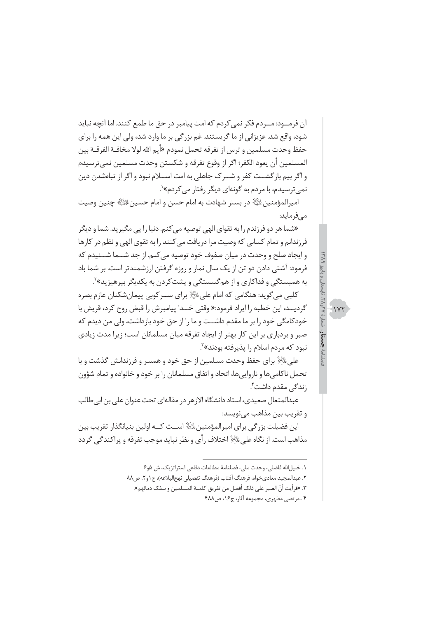آن فرمـــود: مـــردم فكر نمى كردم كه امت ييامبر در حق ما طمع كنند. اما آنچه نبايد شود، واقع شد. عزیزانی از ما گریستند. غم بزرگی بر ما وارد شد، ولی این همه را برای حفظ وحدت مسلمين و ترس از تفرقه تحمل نمودم «أيم الله لولا مخافـة الفرقـة بين المسلمين أن يعود الكفر؛ اگر از وقوع تفرقه و شكستن وحدت مسلمين نميترسيدم و اگر بیم بازگشــت کفر و شــرک جاهلی به امت اســلام نبود و اگر از تباهشدن دین نمي ترسيدم، با مردم به گونهاي ديگر رفتار مي كردم»<sup>۰</sup>.

اميرالمؤمنين اليًّا﴿ در بستر شهادت به امام حسن و امام حسين اللَّهُ اللَّهُ حِنين وصيت مے فرماید:

«شما هر دو فرزندم را به تقوای الهی توصیه می کنم. دنیا را یی مگیرید. شما و دیگر فرزندانم و تمام کسانی که وصیت مرا دریافت می کنند را به تقوی الهی و نظم در کارها و ایجاد صلح و وحدت در میان صفوف خود توصیه می کنم. از جد شــما شــنیدم که فرمود: آشتی دادن دو تن از یک سال نماز و روزه گرفتن ارزشمندتر است. بر شما باد به همبستگی و فداکاری و از همگسستگی و پشتکردن به یکدیگر بپرهیزید»<sup>۲</sup>.

کلبے مے گوید: هنگامی که امام علیﷺ برای ســر کوبی پیمانِشکنان عازم بصره گردیــد، این خطبه را ایراد فرمود:« وقتی خــدا پیامبرش را قبض روح کرد، قریش با خودکامگی خود را بر ما مقدم داشــت و ما را از حق خود بازداشت، ولی من دیدم که صبر و بردباری بر این کار بهتر از ایجاد تفرقه میان مسلمانان است؛ زیرا مدت زیادی نبود که مردم اسلام را پذیرفته بودند»<sup>۳</sup>.

علی ﷺ برای حفظ وحدت مسلمین از حق خود و همسر و فرزندانش گذشت و با تحمل ناكاميها و نارواييها، اتحاد و اتفاق مسلمانان را بر خود و خانواده و تمام شؤون زند*گی* مقدم داشت ٔ.

عبدالمتعال صعیدی، استاد دانشگاه الازهر در مقالهای تحت عنوان علی بن ابی طالب و تقريب بين مذاهب مينويسد:

این فضیلت بزرگی برای امیرالمؤمنین الله اســت کــه اولین بنیانگذار تقریب بین مذاهب است. از نگاه علي ﷺ اختلاف رأي و نظر نبايد موجب تفرقه و پراكندگي گردد  $1YY$ 

١. خليل الله فاضلي، وحدت ملي، فصلنامهٔ مطالعات دفاعي استراتژيک، ش ۵و۶.

٢. عبدالمجيد معادي خواه، فرهنگ آفتاب (فرهنگ تفصيلي نهج البلاغه)، ج ١ و٢، ص٨٨

٣. «فرأيت أنّ الصبر على ذلك أفضل من تفريق كلمــة المسلمين و سفك دمائهم».

۴ ..مرتضى مطهري، مجموعه آثار، ج۱۶، ص۴۸۸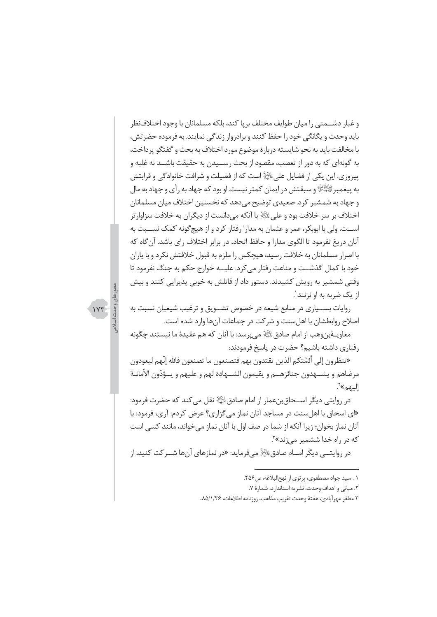و غبار دشــمنی را میان طوایف مختلف بریا کند، بلکه مسلمانان با وجود اختلافنظر باید وحدت و یگانگی خود را حفظ کنند و برادروار زندگی نمایند. به فرموده حضرتش، با مخالفت بايد به نحو شايسته دربارهٔ موضوع مورد اختلاف به بحث و گفتگو پرداخت، به گونهای که به دور از تعصب، مقصود از بحث رســیدن به حقیقت باشــد نه غلبه و ييروزي. اين يكي از فضايل على اللِّهِ است كه از فضيلت و شرافت خانوادگي و قرابتش به پیغمبرﷺ و سبقتش در ایمان کمتر نیست. او بود که جهاد به رأی و جهاد به مال و جهاد به شمشیر کرد. صعیدی توضیح می دهد که نخستین اختلاف میان مسلمانان اختلاف بر سر خلافت بود و على اللِّهِ با آنكه مي دانست از ديگران به خلافت سزاوار تر اســت، ولي با ابوبكر، عمر و عثمان به مدارا رفتار كرد و از هيچگونه كمك نســبت به آنان دریغ نفرمود تا الگوی مدارا و حافظ اتحاد، در برابر اختلاف رای باشد. آن گاه که با اصرار مسلمانان به خلافت رسید، هیچکس را ملزم به قبول خلافتش نکرد و با پاران خود با کمال گذشــت و مناعت رفتار مے کرد. علیــه خوارج حکم به جنگ نفرمود تا وقتی شمشیر به رویش کشیدند. دستور داد از قاتلش به خوبی پذیرایی کنند و بیش از یک ضربه به او نزنند'.

روایات بســیاری در منابع شیعه در خصوص تشــویق و ترغیب شیعیان نسبت به اصلاح روابطشان با اهل سنت و شركت در جماعات آنها وارد شده است.

معاويــةبن,وهب از امام صادق $\mathbb{P}^{\mathbb{N}}$  می پرسد: با آنان که هم عقيدهٔ ما نيستند چگونه , فتارى داشته باشيم؟ حضرت در پاسخ فرمودند:

«تنظرون إلى أئمّتكم الذين تقتدون بهم فتصنعون ما تصنعون فالله إنّهم ليعودون مرضاهم و يشــهدون جنائزهــم و يقيمون الشــهادة لهم و عليهم و يــؤدّون الأمانــة إليهم»<sup>7</sup>.

در روايتي ديگر اســـحاق بنعمار از امام صادق الثَّا﴿ نقل مي كند كه حضرت فرمود: «ای اسحاق با اهل سنت در مساجد آنان نماز می گزاری؟ عرض کردم: آری، فرمود: با آنان نماز بخوان؛ زیرا آنکه از شما در صف اول با آنان نماز میخواند، مانند کسی است که در راه خدا ششمیر می;ند»<sup>۳</sup>.

در روايتـــي ديگر امـــام صادقﷺ ميفرمايد: «در نمازهاي آنها شــر *كت* كنيد، از

 $\gamma$ 

١ . سيد جواد مصطفوى، يرتوى از نهج البلاغه، ص٢٥۶.

٢. مباني و اهداف وحدت، نشريه استاندارد، شمارة ٧.

٢ مظفر مهرآبادي، هفتهٔ وحدت تقريب مذاهب، روزنامه اطلاعات، ٨٥/١/٢۶..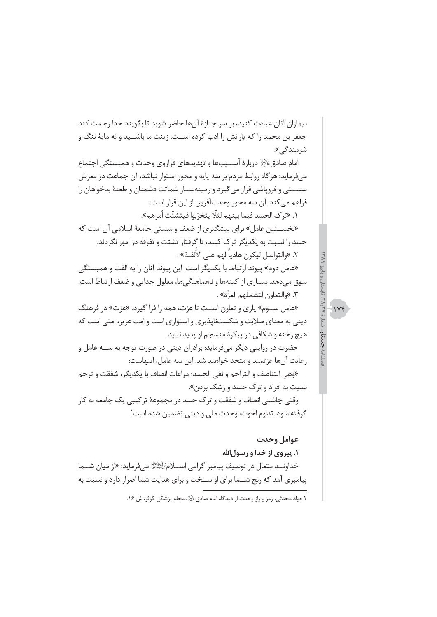بیماران آنان عیادت کنید، بر سر جنازهٔ آنها حاضر شوید تا بگویند خدا رحمت کند جعفر بن محمد را که پارانش را ادب کرده اســت. زینت ما باشــید و نه مایهٔ ننگ و شرمند*گے ،».* امام صادق $\mathbb{R}^{\mathbb{N}}$  دربارهٔ اســیبها و تهدیدهای فراروی وحدت و همبستگی اجتماع میفرماید: هرگاه روابط مردم بر سه پایه و محور استوار نباشد، آن جماعت در معرض سســتی و فرویاشی قرار می گیرد و زمینهســاز شماتت دشمنان و طعنهٔ بدخواهان را فراهم مي كند. آن سه محور وحدتآفرين از اين قرار است: ١. «تر ک الحسد فيما بينهم لئلًّا يتخرّبوا فيتشتّت أمرهم». «نخســـتین عامل» برای پیشگیری از ضعف و سستی جامعهٔ اسلامی آن است که حسد را نسبت به یکدیگر ترک کنند، تا گرفتار تشتت و تفرقه در امور نگردند. ٢. «والتواصل ليكون هادياً لهم على الألفــة» . «عامل دوم» پیوند ارتباط با یکدیگر است. این پیوند آنان را به الفت و همبستگی سوق میدهد. بسیاری از کینهها و ناهماهنگیها، معلول جدایی و ضعف ارتباط است. ٣. «والتعاون لتشملهم العزّة» . «عامل سـوم» پاری و تعاون اسـت تا عزت، همه را فرا گیرد. «عزت» در فرهنگ دینی به معنای صلابت و شکستناپذیری و استواری است و امت عزیز، امتی است که هیچ رخنه و شکافی در پیکرهٔ منسجم او پدید نیاید. حضرت در روایتی دیگر میفرماید: برادران دینی در صورت توجه به ســه عامل و رعايت آنها عزتمند و متحد خواهند شد. اين سه عامل، اينهاست: «وهي التناصف و التراحم و نفي الحسد؛ مراعات انصاف با يكديگر، شفقت و ترحم نسبت به افراد و ترک حسد و رشک بردن». وقتی چاشنی انصاف و شفقت و ترک حسد در مجموعهٔ ترکیبی یک جامعه به کار گرفته شود، تداوم اخوت، وحدت ملي و ديني تضمين شده است'.

 $1Yf$ 

عوامل وحدت ۱. پیروی از خدا و رسول الله خداونــد متعال در توصيف پيامبر گرامي اســـلامﷺ ميفرمايد: «از ميان شـــما پیامبری آمد که رنج شـما برای او سـخت و برای هدایت شما اصرار دارد و نسبت به

١جواد محدثي، رمز و راز وحدت از ديدگاه امام صادق الثَّابي مجله پزشكي كوثر، ش ١۶.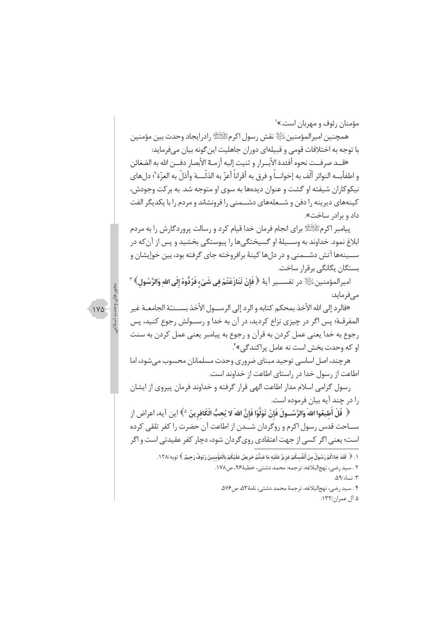مؤمنان رئوف و مهربان است.»<sup>۱</sup>

همجنين اميرالمؤمنين اللَّهِ نقش رسول اكرمﷺ رادرايجاد وحدت بين مؤمنين با توجه به اختلافات قومی و قبیلهای دوران جاهلیت این گونه بیان می فرماید:

«قــد صرفــت نحوه أفئدة الأبــرار و ثنيت إليه أزمــة الأبصار دفــن الله به الضغائن و اطفأبـــه النوائر ألّف به إخوانـــاً و فرق به أقراناً أعزّ به الذلّــــة وأذلّ به العزّة ٌ؛ دلهاى نیکوکاران شیفته او گشت و عنوان دیدهها به سوی او متوجه شد. به برکت وجودش، کینههای دیرینه را دفن و شــعلههای دشــمنی را فرونشاند و مردم را با یکدیگر الفت داد و براد<sub>ر</sub> ساخت».

ييامبر اكرمﷺ براي انجام فرمان خدا قيام كرد و رسالت پروردگارش را به مردم ابلاغ نمود. خداوند به وســيلهٔ او گسيختگيها را پيوستگي بخشيد و پس از آن كه در ســينهها آتش دشــمني و در دلها كينهٔ برافروخته جاي گرفته بود، بين خوإيشان و بستگان یگانگی برقرار ساخت.

اميرالمؤمنين $\mathbb{P}^2$  در تفســير آيهٔ ﴿ فَإِنْ تَنَازَعْتُمْ في شَيْء فَرُدُّوهُ إِلَى الله وَالرَّسُولِ》 مے فرماید:

«فالرد إلى الله الأخذ بمحكم كتابه و الرد إلى الرســول الأخذ بســنـّـة الجامعــة غير المفرقــة؛ پس اگر در چیزی نزاع کردید، در آن به خدا و رســـولش رجوع کنید، پس رجوع به خدا یعنی عمل کردن به قرآن و رجوع به پیامبر یعنی عمل کردن به سنت او که وحدت بخش است نه عامل پراکندگی»<sup>۴</sup>.

هر چند، اصل اساسی توحید مبنای ضروری وحدت مسلمانان محسوب می شود، اما اطاعت از رسول خدا در راستای اطاعت از خداوند است.

رسول گرامی اسلام مدار اطاعت الهی قرار گرفته و خداوند فرمان پیروی از ایشان را در چند آیه بیان فرموده است.

﴿ قُلْ أَطيعُوا اللهَ وَالرَّسُــولَ فَإِنْ تَوَلَّوْا فَإِنَّ اللهَ لا يُحبُّ الْكَافرينَ ^》اين آيه، اعراض از ســاحت قدس رسول اكرم و روگردان شــدن از اطاعت آن حضرت را كفر تلقى كرده است؛ یعنی اگر کسی از جهت اعتقادی روی گردان شود، دچار کفر عقیدتی است و اگر

> ١. ﴿ لَقَدْ جَاءَكُمْ رَسُولٌ مِنْ أَنْفُسكُمْ عَزِيزٌ عَلَيْه مَا عَنتُّمْ حَرِيصٌ عَلَيْكُمْ بِالْمُؤْمنينَ رَءُوفٌ رَحيمٌ ﴾ توبه/١٢٨. ٢ . سيد رضي، نهج|لبلاغه، ترجمه: محمد دشتي، خطبهٔ٩۶، ص١٧٨. ٣. نساء/٥٩. .<br>۳. سید رضی، نهج|لبلاغه، ترجمهٔ محمد دشتی، نامهٔ۳۵، ص۵۷۶.

۵ آل عمران/۱۳۲.

 $1Y\Delta$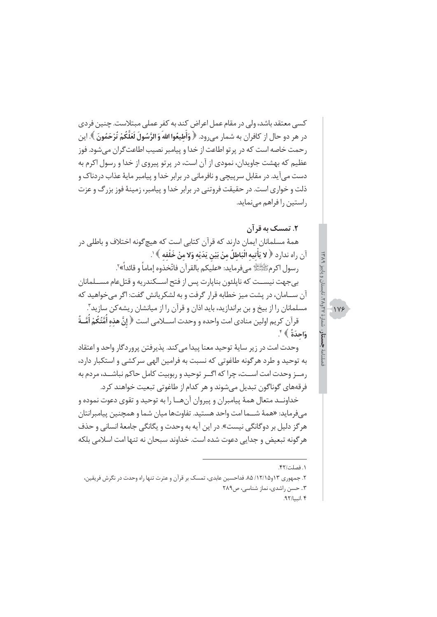کسی معتقد باشد، ولی در مقام عمل اعراض کند به کفر عملی مبتلاست. چنین فردی در هر دو حال از كافران به شمار مي رود. ﴿ وَأَطِيعُوا اللهَ وَ الرَّسُولَ لَعَلَّكُمْ تُرْحَمُونَ ﴾. اين رحمت خاصه است که در پرتو اطاعت از خدا و پیامبر نصیب اطاعت گران می شود. فوز عظیم که بهشت جاویدان، نمودی از آن است، در پرتو پیروی از خدا و رسول اکرم به دست می آید. در مقابل سرپیچی و نافرمانی در برابر خدا و پیامبر مایهٔ عذاب دردناک و ذلت و خواری است. در حقیقت فروتنی در برابر خدا و پیامبر، زمینهٔ فوز بزرگ و عزت راستین را فراهم مے نماید.

۲. تمسک به قر آن

 $119$ 

همهٔ مسلمانان ایمان دارند که قرآن کتابی است که هیچگونه اختلاف و باطلی در آن راه ندارد ﴿ لا يَأْتيه الْبَاطِلُ منْ بَيْنِ يَدَيْهِ وَلا منْ خَلْفه ﴾'. , سول اكرمﷺ مے فرمايد: «عليكم بالقرآن فاتّخذوه إماماً و قائداً» ؒ. بي جهت نيســت كه ناپلئون بناپارت پس از فتح اســكندريه و قتلعام مســلمانان آن ســامان، در پشت میز خطابه قرار گرفت و به لشکرپانش گفت: اگر می خواهید که مسلمانان را از بیخ و بن براندازید، باید اذان و قرآن را از میانشان ریشه کن سازید". قرآن كريم اولين منادي امت واحده و وحدت اســـلامي است ﴿ إِنَّ هذه أُمَّتُكُمْ أُمَّــةً وَاحِدَةً ﴾ ْ

وحدت امت در زير سايهٔ توحيد معنا پيدا مي كند. پذيرفتن پروردگار واحد و اعتقاد به توحید و طرد هر گونه طاغوتی که نسبت به فرامین الهی سرکشی و استکبار دارد، رمــز وحدت امت اســت، چرا كه اگــر توحيد و ربوبيت كامل حاكم نباشــد، مردم به فرقههای گوناگون تبدیل می شوند و هر کدام از طاغوتی تبعیت خواهند کرد.

خداونــد متعال همهٔ پیامبران و پیروان آنهــا را به توحید و تقوی دعوت نموده و مي فرمايد: «همهٔ شــما امت واحد هستيد. تفاوتها ميان شما و همچنين پيامبرانتان هر گز دلیل بر دوگانگی نیست». در این آیه به وحدت و یگانگی جامعهٔ انسانی و حذف هر گونه تبعیض و جدایی دعوت شده است. خداوند سبحان نه تنها امت اسلامی بلکه

۲. جمهوری ۱۳و۱۱۵/۱۲/۱۵. فداحسین عابدی، تمسک بر قرآن و عترت تنها راه وحدت در نگرش فریقین، ٣.. حسن راشدي، نماز شناسي، ص٢٨٩ ۴.انسا/۹۲.

١. فصلت/۴٢.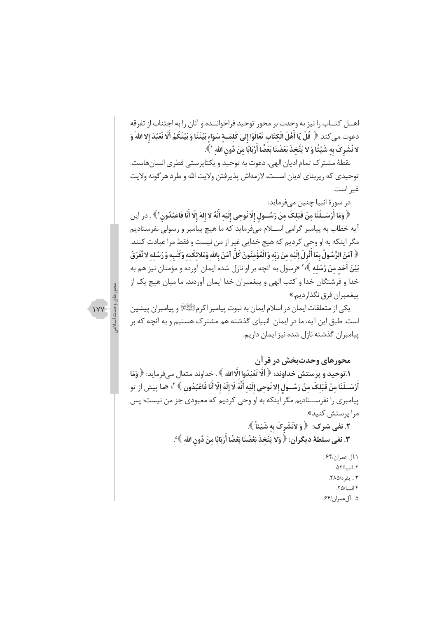اهــل كتــاب را نيز به وحدت بر محور توحيد فراخوانــده و آنان را به اجتناب از تفرقه دعوت مى كند ﴿ قُلْ يَا أَهْلَ الْكتَابِ تَعَالَوْا إِلىٰ كَلمَــة سَوَاء بَيْنَنَا وَ بَيْنَكُمْ أَلّا نَعْبُدَ إلا اللهَ وَ لا نُشْرِكَ بِه شَيْئًا وَ لا يَتَّخذَ بَعْضُنَا بَعْضًا أَرْبَابًا منْ دُونِ الله ' ﴾.

نقطهٔ مشترک تمام ادیان الهی، دعوت به توحید و یکتاپرستی فطری انسانهاست. توحيدي كه زيربناي اديان اســت، لازمهاش يذيرفتن ولايت الله و طرد هر گونه ولايت غير است.

در سورۂ انبیا چنین مے فرماید:

﴿ وَمَا أَرْسَــلْنَا مِنْ قَبْلِكَ مِنْ رَسُــولِ إِلَّا نُوحِى إِلَيْهِ أَنَّهُ لا إِلهَ إِلَّا أَنَا فَاعْبُدُون ۚ ﴾ . در اين آيه خطاب به پيامبر گرامي اســلام ميفرمايد كه ما هيچ پيامبر و رسولي نفرستاديم مگر اینکه به او وحی کردیم که هیچ خدایی غیر از من نیست و فقط مرا عبادت کنند. ﴿ آمَنَ الرَّسُولُ بِمَا أَنْزِلَ إِلَيْه منْ رَبّه وَ الْمُؤْمِنُونَ كُلَّ آمَنَ بالله وَمَلائكَته وَكُتُبه وَ رُسُله لا نُفَرّقُ بَيْنَ **أَحَد منْ رُسُله** ﴾؛" «رسول به آنچه بر او نازل شده ایمان آورده و مؤمنان نیز هم به خدا و فرشتگان خدا و کتب الهی و پیغمبران خدا ایمان آوردند، ما میان هیچ یک از ييغمبران فرق نگذارديم.»

يکي از متعلقات ايمان در اسلام ايمان به نبوت پيامبر اکرمﷺ و پيامبران پيشين است. طبق این آیه، ما در ایمان انبیای گذشته هم مشترک هستیم و به آنچه که بر ییامبران گذشته نازل شده نیز ایمان داریم.

**IVY** 

### محورهای وحدتبخش در قرآن

١.توحيد و پرستش خداوند: ﴿ أَلَّا تَعْبُدُوا الَّا الله ﴾ . خداوند متعال ميفرمايد: ﴿ وَمَا أَرْسَــلْنَا منْ قَبْلكَ منْ رَسَــول إلا نُوحى إلَيْه أَنَّهُ لَا إلَهَ إلّا أَنَا فَاعْبُدُون ﴾ <sup>۴</sup>؛ «ما پيش از تو پیامبری را نفرســتادیم مگر اینکه به او وحی کردیم که معبودی جز من نیست؛ پس مرا پرستش کنید».

٢. نفي شرک: ﴿ وَ لاَنَشْرِکَ بِهِ شَيْئاً ﴾. ٣. نفي سلطة ديگران: ﴿ وَلا يَتَّخذَ بَعْضُنَا بَعْضًا أَرْبَابًا منْ دُونِ الله ﴾ ٛ.

> ٠.آل عمران/۶۴. ٢. انسا/۵۲. ٣ .. تقره/٢٨۵. ۴ انسا/۲۵. ۵ . آل عمران/۶۴ .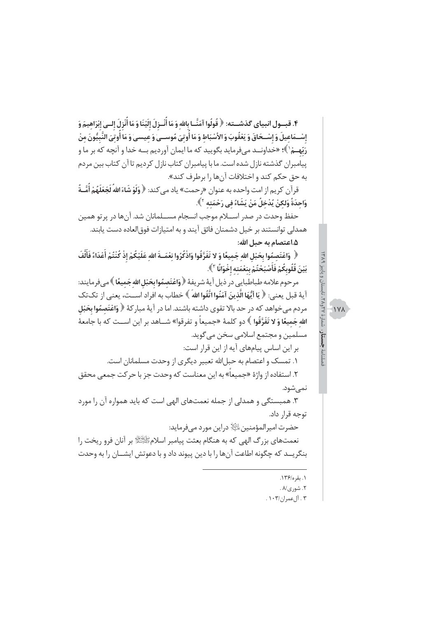۴. قبــول انبياي گذشــته: ﴿ قُولُوا آمَنَّــا بالله وَ مَا أُنْــزِلَ إِلَيْنَا وَ مَا أُنْزِلَ إِلــىٰ إبْرَاهيمَ وَ إِسْــمَاعيلَ وَ إِسْــحَاقَ وَ يَعْقُوبَ وَ الأَسْبَاط وَ مَا أُوتيَ مُوســيٰ وَ عيسـيٰ وَ مَا أُوتيَ النّبيّونَ منْ رَبّهـمْ'﴾؛ «خداونــد مے فرماید بگویید که ما ایمان آوردیم بــه خدا و آنچه که بر ما و پیامبران گذشته نازل شده است. ما با پیامبران کتاب نازل کردیم تا آن کتاب بین مردم به حق حكم كند و اختلافات آنها را برطرف كند».

قرآن كريم از امت واحده به عنوان «رحمت» ياد مى كند: ﴿ **وَلَوْ شَاءَ اللهُ لَجَعَلَهُمْ أَمَّــةً** وَاحدَةً وَلكنْ يُدْخلُ مَنْ يَشَاءُ في رَحْمَته ` ﴾.

حفظ وحدت در صدر اســـلام موجب انسجام مســـلمانان شد. آنها در پرتو همین همدلي توانستند بر خيل دشمنان فائق آيند و به امتيازات فوق|لعاده دست يابند. ۵.اعتصام به حبل الله:

﴿ وَاعْتَصِمُوا بِحَبْلِ الله جَمِيعًا وَ لا تَفَرَّقُوا وَاذْكُرُوا نعْمَــةَ الله عَلَيْكُمْ إِذْ كُنْتُمْ أَعْدَاءً فَأَلَّفَ بَيْنَ قُلُوبِكُمْ فَأَصْبَحْتُمْ بِنِعْمَتِه إِخْوَانًا ۚ ﴾.

مرحوم علامه طباطبايي در ذيل آيهٔ شريفهٔ ﴿ وَاعْتَصِمُوا بِحَبْلِ الله جَميعًا ﴾ مي فرمايند: آيةَ قبل يعني: ﴿ يَا أَيُّهَا الَّذِينَ آمَنُوا اتَّقُوا اللهَ ﴾ خطاب به افراد اســت، يعني از تک تک مردم می خواهد که در حد بالا تقوی داشته باشند. اما در آیهٔ مبارکهٔ ﴿ وَاعْتَصِمُوا بِحَبْلِ ا**لله جَميعًا وَ لا تَفَرَّقُوا** ﴾ دو كلمهٔ «جميعاً و تفرقوا» شـــاهد بر اين اســت كه با جامعهٔ مسلمين و مجتمع اسلامي سخن مي گويد. بر این اساس پیامهای آیه از این قرار است: ١. تمسك و اعتصام به حبلالله تعبير ديگرى از وحدت مسلمانان است.

۲. استفاده از واژهٔ «جمیعاً» به این معناست که وحدت جز با حرکت جمعی محقق نمىشود.

۳. همبستگی و همدلی از جمله نعمتهای الهی است که باید همواره آن را مورد توجه قرار داد. حضرت اميرالمؤمنين اللَّةِ دراين مورد مى فرمايد:

نعمتهای بزرگ الهی که به هنگام بعثت پیامبر اسلامﷺ بر آنان فرو ریخت را بنگريــد كه چگونه اطاعت آنها را با دين پيوند داد و با دعوتش ايشــان را به وحدت

۱. بقره/۱۳۶.

شمارة ٢٩٥٨.

**AYK** 

- ٢. شورى/٨ .
- ۰۲ آل عمران/۰۳ .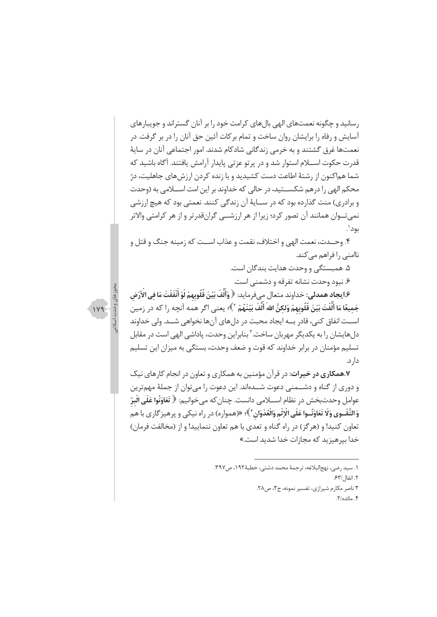رسانید و چگونه نعمتهای الهی بالهای کرامت خود را بر آنان گستراند و جویبارهای آسایش و رفاه را برایشان روان ساخت و تمام بر کات آئین حق آنان را در بر گرفت. در نعمتها غرق گشتند و به خرمی زندگانی شادکام شدند. امور اجتماعی آنان در سایهٔ قدرت حکوت اســـلام استوار شد و در پرتو عزتی پایدار آرامش یافتند. آگاه باشید که شما هماکنون از رشتهٔ اطاعت دست کشیدید و با زنده کردن ارزش های جاهلیت، دژ محکم الهی را درهم شکســتید، در حالی که خداوند بر این امت اســلامی به (وحدت و برادري) منت گذارده بود كه در ســايهٔ آن زندگي كنند. نعمتي بود كه هيچ ارزشي نمی تــوان همانند آن تصور کرد؛ زیرا از هر ارزشـــی گرانقدرتر و از هر کرامتی والاتر بود'.

۴. وحــدت، نعمت الهي و اختلاف، نقمت و عذاب اســت كه زمينه جنگ و قتل و ناامنے<sub>، ر</sub>ا فراھم مے کند.

۵. همبستگی و وحدت هدایت بندگان است.

۶. نبود وحدت نشانه تفرقه و دشمنی است.

e.ا**يجاد همدل**ي: خداوند متعال ميفرمايد: ﴿ وَأَلَّفَ بَيْنَ قُلُوبِهِمْ لَوْ أَنْفَقْتَ مَا في الْأَرْض جَميعًا مَا أَلَّفْتَ بَيْنَ قُلُوبِهِمْ وَلكنَّ اللهَ أَلَّفَ بَيْنَهُمْ ۚ ﴾؛ يعني اگر همه آنچه را كه در زمين اســت انفاق كني، قادر بــه ايجاد محبت در دلهاي آنها نخواهي شــد. ولي خداوند دل هایشان را به یکدیگر مهربان ساخت."بنابراین وحدت، پاداشی الهی است در مقابل تسلیم مؤمنان در برابر خداوند که قوت و ضعف وحدت، بستگی به میزان این تسلیم دار د.

**۷.همکاری در خیرات**: در قرآن مؤمنین به همکاری و تعاون در انجام کارهای نیک و دوری از گناه و دشـــمنی دعوت شـــدهاند. این دعوت را میتوان از جملهٔ مهم¤رین عوامل وحدتبخش در نظام اســـلامي دانست. چنان كه ميخوانيم: ﴿ تَعَاوَنُوا عَلَى الْبِرِّ وَالتَّقْـوِيٰ وَلَا تَعَاوَنُـوا عَلَى الْإِثْمِ وَالْعُدْوَانِ ۚ ﴾؛ «(همواره) در راه نيكي و يرهيز گاري با هم تعاون كنيد! و (هرگز) در راه گناه و تعدي با هم تعاون ننماييد! و از (مخالفت فرمان) خدا بیرهیزید که مجازات خدا شدید است.»

> ١. سيد رضي، نهجالبلاغه، ترجمة محمد دشتي، خطبة١٩٢، ص٣٩٧. ٢. انفال /۶۳. ٢ ناصر مكارم شيرازى، تفسير نمونه، ج٣، ص٢٨. ۴. مائده/۲.

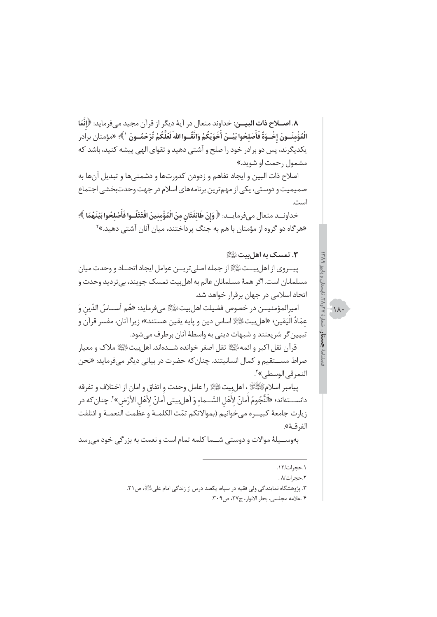٨. اصــلاح ذات البيــن: خداوند متعال در آيهٔ ديگر از قرآن مجيد ميفرمايد: ﴿إِنَّمَا الْمُؤْمنُــونَ إخْــوَةٌ فَأَصْلحُوا بَيْــنَ أَخَوَيْكُمْ وَاتَّقْــوا الله<sup>َ</sup> لَعَلَّكُمْ تُرْحَمُــونَ لأَ»؛ «مؤمنان برادر یکدیگرند، پس دو برادر خود را صلح و آشتی دهید و تقوای الهی پیشه کنید، باشد که مشمول رحمت او شوید.»

اصلاح ذات البين و ايجاد تفاهم و زدودن كدورتها و دشمنيها و تبديل آنها به صمیمیت و دوستی، یکی از مهمترین برنامههای اسلام در جهت وحدتبخشی اجتماع است.

خداونــد متعال مىفرمايــد: ﴿ وَإِنْ طَائفَتَانِ مِنَ الْمُؤْمنينَ اقْتَتَلُــوا فَأَصْلحُوا بَيْنَهُمَا ﴾؛ «هرگاه دو گروه از مؤمنان با هم به جنگ پرداختند، میان آنان آشتی دهید.»<sup>۲</sup>

#### ٣. تمسک به اهل بیت ﷺ

ييـــروى از اهل بيـــتﷺ از جمله اصلي تريـــز عوامل ايجاد اتحـــاد و وحدت ميان مسلمانان است. اگر همهٔ مسلمانان عالم به اهل بیت تمسک جویند، بی تردید وحدت و اتحاد اسلامی در جهان برقرار خواهد شد.

اميرالمؤمنيـــن در خصوص فضيلت اهلبيتﷺ ميفرمايد: «هُم أســـاسُ الدّين وَ عمَادُ اليَقينِ؛ «اهلبيتﷺ اساس دين و پايه يقين هستند»؛ زيرا آنان، مفسر قرآن و تبيين گر شريعتند و شبهات ديني به واسطهٔ آنان برطرف می شود.

قرآن ثقل اكبر و ائمه الْقِلَّا ثقل اصغر خوانده شــدهاند. اهل بيت الْقَلَّا ملاك و معيار صراط مســتقيم و كمال انسانيتند. چنان كه حضرت در بياني ديگر ميفرمايد: «نحن النمرقي الوسطى»<sup>7</sup>.

پيامبر اسلامﷺ، اهلبيتﷺ را عامل وحدت و اتفاق و امان از اختلاف و تفرقه دانســـتهاند؛ «اَلنَّجُومُ أَمانٌ لأَهْل السَّــماء وَ أهلبيتي أمانٌ لأهْل الأَرْض» ۚ. چنان *ك*ه در زيارت جامعة كبيــره مى خوانيم (بموالاتكم تمّت الكلمــة و عظمت النعمــة و ائتلفت الفرقــة».

بهوســيلهٔ موالات و دوستي شــما كلمه تمام است و نعمت به بزرگي خود مىرسد

 $\frac{1}{2}11$ 

۳. پژوهشگاه نمایندگی ولی فقیه در سپاه، یکصد درس از زندگی امام علی الله ص ۲۱.

٠١٢/١.

٢.حج ات/٨.

۴ .علامه مجلسي، بحار الانوار، ج۲۷، ص۳۰۹.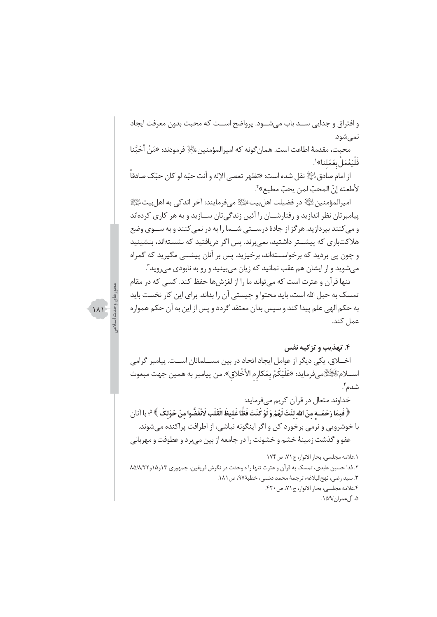و افتراق و جدایی ســد باب میشــود. پرواضح اســت که محبت بدون معرفت ایجاد نمے شود.

محبت، مقدمهٔ اطاعت است. همان گونه که امیرالمؤمنین ﷺ فرمودند: «مَنْ أَحَبَّنا فَلْيَعْمَلْ بِعَمَلِنا»'.

از امام صادق $\mathbb{R}^{\mathbb{N}}$  نقل شده است: «تظهر تعصى الإله و أنت حبّه لو كان حبّك صادقاً لأطعته إنّ المحبّ لمن يحبّ مطيع»٬ّ.

اميرالمؤمنين اللَّهِ ۚ در فضيلت اهل بيت الْجَلِّهِ مي فرمايند: آخر اندكي به اهل بيت الْجَلِّهِ ۖ ا پیامبرتان نظر اندازید و رفتارشــان را آئین زندگیتان ســازید و به هر کاری کردهاند و می کنند بیردازید. هر گز از جادهٔ درســتی شــما را به در نمی کنند و به ســوی وضع هلاکتباری که پیشــتر داشتید، نمی,برند. پس اگر دریافتید که نشستهاند، بنشینید و چون پی بردید که برخواســتهاند، برخیزید. پس بر آنان پیشــی مگیرید که گمراه مي شويد و از ايشان هم عقب نمانيد كه زيان مي بينيد و رو به نابودي مي رويد".

تنها قرآن و عترت است که می تواند ما را از لغزشها حفظ کند. کسی که در مقام تمسک به حبل الله است، باید محتوا و چیستی آن را بداند. برای این کار نخست باید به حکم الهي علم پيدا کند و سپس بدان معتقد گردد و پس از اين به آن حکم همواره عمل كند.

#### ۴. تهذیب و تزکیه نفس

اخــلاق، یکی دیگر از عوامل ایجاد اتحاد در بین مســلمانان اسـت. پیامبر گرامی اســـلامﷺميفرمايد: «عَلَيْكُمْ بِمَكارِم الأخْلاقِ». من پيامبر به همين جهت مبعوث شدم ٗ.

خداوند متعال در قرآن کریم میفرماید:

﴿ فَبِمَا رَحْمَــة منَ الله لنْتَ لَهُمْ وَ لَوْ كُنْتَ فَظًّا غَليظَ الْقَلْبِ لَانْفَضُّوا منْ حَوْلكَ ﴾ ٩، با آنان با خوشرويي و نرمي برخورد كن و اگر اينگونه نباشي، از اطرافت پراكنده ميشوند. عفو و گذشت زمینهٔ خشم و خشونت را در جامعه از بین میبرد و عطوفت و مهربانی

 $\lambda$ 

١.علامه مجلسي، بحار الانوار، ج٧١، ص١٧۴ ۲. فدا حسین عابدی، تمسک به قرآن و عترت تنها را ه وحدت در نگرش فریقین، جمهوری ۱۳و۱۵/۸/۲۸هـ/ ٢. سيد رضي، نهج|لبلاغه، ترجمهٔ محمد دشتي، خطبهٔ٩٧، ص١٨١. ۴.علامه مجلسي، بحار الانوار، ج٧١، ص٣٢٠. ۵. آلءمران/۱۵۹.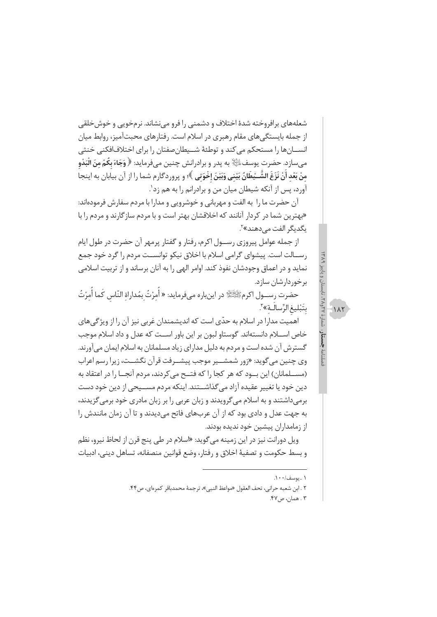شعلههای برافروخته شدهٔ اختلاف و دشمنی را فرو می نشاند. نرمخویی و خوش خلقی از جمله بایستگی های مقام رهبری در اسلام است. رفتارهای محبتآمیز، روابط میان انســـانها را مستحکم می کند و توطئهٔ شـــیطان صفتان را برای اختلافافکنی خنثی ميسازد. حضرت يوسف $\mathbb{P}^2$  به پدر و برادرانش چنين ميفرمايد: ﴿ وَجَاءَ بِكُمْ مِنَ الْبَدْوِ منْ بَعْد أَنْ نَزَغَ الشَّــٰيطَانُ بَيْني وَبَيْنَ إخْوَتي ﴾؛ و پروردگارم شما را از آن بيابان به اينجا آورد، پس از آنکه شیطان میان من و برادرانم را به هم زد'.

آن حضرت ما را به الفت و مهربانی و خوشرویی و مدارا با مردم سفارش فرمودهاند: «بهترین شما در کردار آنانند که اخلاقشان بهتر است و با مردم سازگارند و مردم را با يگديگر الفت مے دھند»<sup>۲</sup>.

از جمله عوامل پیروزی رســول اکرم، رفتار و گفتار پرمهر آن حضرت در طول ایام رســالت است. پیشوای گرامی اسلام با اخلاق نیکو توانســت مردم را گرد خود جمع نماید و در اعماق وجودشان نفوذ کند. اوامر الهی را به آنان برساند و از تربیت اسلامی برخوردارشان سازد.

حضرت رســـول اكرمﷺ در اينباره مىفرمايد: « أَمرْتُ بمُداراة النّاس كَما أَمرْتُ بتَبْليغ الرِّسالـة»<sup>7</sup>.

اهمیت مدارا در اسلام به حدّى است كه اندیشمندان غربی نیز آن را از ویژگیهای خاص اســـلام دانستهاند. گوستاو لبون بر این باور اســت که عدل و داد اسلام موجب گسترش آن شده است و مردم به دلیل مدارای زیاد مسلمانان به اسلام ایمان میآورند. وي چنين مي گويد: «زور شمشــير موجب پيشــرفت قرآن نگشــت، زيرا رسم اعراب (مســلمانان) این بــود که هر کجا را که فتــح می کردند، مردم آنجــا را در اعتقاد به دین خود یا تغییر عقیده آزاد می گذاشـــتند. اینکه مردم مســـیحی از دین خود دست برمیداشتند و به اسلام میگرویدند و زبان عربی را بر زبان مادری خود برمیگزیدند، به جهت عدل و دادي بود كه از آن عربهاي فاتح مي ديدند و تا آن زمان مانندش را از زمامداران پیشین خود ندیده بودند.

ويل دورانت نيز در اين زمينه مي گويد: «اسلام در طي پنج قرن از لحاظ نيرو، نظم و بسط حکومت و تصفیهٔ اخلاق و رفتار، وضع قوانین منصفانه، تساهل دینی، ادبیات  $\frac{1}{2}$ 

١ ..يوسف/٠٠١.

٢ . ابن شعبه حراني، تحف العقول «مواعظ النبي»، ترجمة محمدباقر كمرهاي، ص٣۴.

۳ . همان، ص۴۷.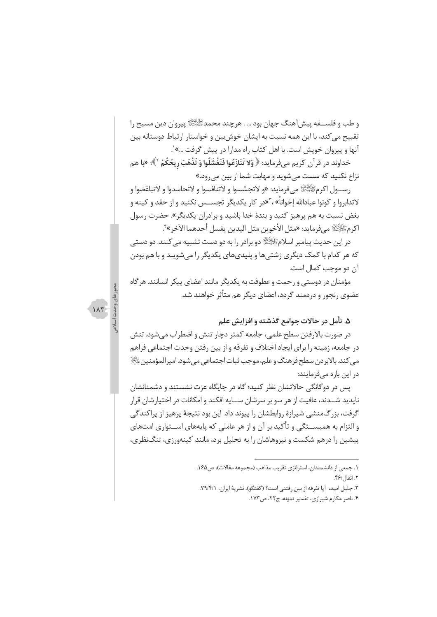و طب و فلســفه پیش[هنگ جهان بود … . هرچند محمدﷺ پیروان دین مسیح را تقبیح می کند، با این همه نسبت به ایشان خوش بین و خواستار ارتباط دوستانه بین آنها و پیروان خویش است. با اهل کتاب راه مدارا در پیش گرفت …»'.

خداوند در قرآن کریم مے فرماید: ﴿ **وَلا تَنَازَعُوا فَتَفْشَلُوا وَ تَذْهَبَ ریحُكُمْ** ّ<sup>}</sup>؛ «با هم نزاع نکنید که سست میشوید و مهابت شما از بین می رود.»

رســول اكرمﷺ مي فرمايد: «و لاتجسّسوا و لاتنافسوا و لاتحاسدوا و لاتباغضوا و لاتدابروا و کونوا عبادالله إخواناً» ،<sup>۳</sup>«در کار یکدیگر تجســس نکنید و از حقد و کینه و بغض نسبت به هم پرهیز کنید و بندهٔ خدا باشید و برادران یکدیگر». حضرت رسول اكرمﷺ مي فرمايد: «مثل الأخوين مثل اليدين يغسل أحدهما الآخر »'ً.

در این حدیث پیامبر اسلامﷺ دو برادر را به دو دست تشبیه میکنند. دو دستی که هر کدام با کمک دیگری زشتیها و پلیدیهای یکدیگر را میشویند و با هم بودن آن دو موجب کمال است.

مؤمنان در دوستی و رحمت و عطوفت به یکدیگر مانند اعضای پیکر انسانند. هر گاه عضوی رنجور و دردمند گردد، اعضای دیگر هم متأثر خواهند شد.

 $\lambda \tau$ 

#### ۵. تأمل در حالات جوامع گذشته و افزایش علم

در صورت بالارفتن سطح علمي، جامعه كمتر دچار تنش و اضطراب مي شود. تنش در جامعه، زمینه را برای ایجاد اختلاف و تفرقه و از بین رفتن وحدت اجتماعی فراهم مي كند. بالابر دن سطح فرهنگ و علم، موجب ثبات اجتماعي مي شود. امير المؤمنين التَّالِا در این باره میفرمایند:

یس در دوگانگی حالاتشان نظر کنید؛ گاه در جایگاه عزت نشستند و دشمنانشان نايديد شــدند، عافيت از هر سو بر سرشان ســايه افكند و امكانات در اختيارشان قرار گرفت، بزرگ،منشی شیرازهٔ روابطشان را پیوند داد. این بود نتیجهٔ پرهیز از پراکندگی و التزام به همبســتگی و تأکید بر آن و از هر عاملی که پایههای اســتواری امتهای پیشین را درهم شکست و نیروهاشان را به تحلیل برد، مانند کینهورزی، تنگنظری،

۲. جلیل امید، آیا تفرقه از بین رفتنی است؟ (گفتگو)، نشریهٔ ایران، ۷۹/۴/۱.

۴. ناصر مکارم شیرازی، تفسیر نمونه، ج۲۲، ص۱۷۳.

١. جمعي از دانشمندان، استراتژي تقريب مذاهب (مجموعه مقالات)، ص١۶۵. ٢. انفال /۴۶.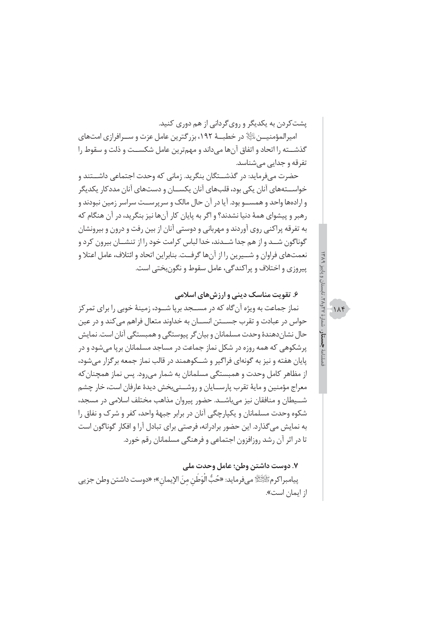یشت کردن به یکدیگر و روی گردانی از هم دوری کنید. امپرالمؤمنیــن ﷺ در خطبــهٔ ۱۹۲، بزرگترین عامل عزت و ســرافرازی امتهای گذشـــته را اتحاد و اتفاق آنها میداند و مهمترین عامل شکســت و ذلت و سقوط را تفرقه و جدایی می شناسد.

حضرت میفرماید: در گذشــتگان بنگرید. زمانی که وحدت اجتماعی داشــتند و خواســـتههای آنان یکی بود، قلبهای آنان یکســان و دستهای آنان مددکار یکدیگر و ارادهها واحد و همســو بود. آیا در آن حال مالک و سرپرســت سراسر زمین نبودند و رهبر و پیشوای همهٔ دنیا نشدند؟ و اگر به پایان کار آنها نیز بنگرید، در آن هنگام که به تفرقه پراکنی روی آوردند و مهربانی و دوستی آنان از بین رفت و درون و بیرونشان گوناگون شـد و از هم جدا شـدند، خدا لباس كرامت خود را از تنشــان بيرون كرد و نعمتهاي فراوان و شــيرين را از آنها گرفــت. بنابراين اتحاد و ائتلاف، عامل اعتلا و پيروزي و اختلاف و پراکندگي، عامل سقوط و نگون بختي است.

## ۶. تقویت مناسک دینی و ارزش های اسلامی

نماز جماعت به ویژه آن گاه که در مســجد برپا شــود، زمینهٔ خوبی را برای تمرکز حواس در عبادت و تقرب جســتن انســان به خداوند متعال فراهم می کند و در عین حال نشان دهندهٔ وحدت مسلمانان و بیان گر پیوستگی و همبستگی آنان است. نمایش پرشکوهی که همه روزه در شکل نماز جماعت در مساجد مسلمانان برپا می شود و در يايان هفته و نيز به گونهاي فراگير و شـــكوهمند در قالب نماز جمعه برگزار مي شود، از مظاهر كامل وحدت و همبستگی مسلمانان به شمار می رود. پس نماز همچنان كه معراج مؤمنين و مايهٔ تقرب پارســايان و روشــنيبخش ديدهٔ عارفان است، خار چشم شــيطان و منافقان نيز مي باشــد. حضور پيروان مذاهب مختلف اسلامي در مسجد، شکوه وحدت مسلمانان و یکیارچگی آنان در برابر جبههٔ واحد، کفر و شرک و نفاق را به نمایش میگذارد. این حضور برادرانه، فرصتی برای تبادل آرا و افکار گوناگون است تا در اثر آن رشد روزافزون اجتماعی و فرهنگی مسلمانان رقم خورد.

#### ٧. دوست داشتن وطن؛ عامل وحدت ملي

پيامبراكرمﷺ ميفرمايد: «حُبُّ الْوَطَنِ منَ الإيمان»؛ «دوست داشتن وطن جزيي از ایمان است».

 $115$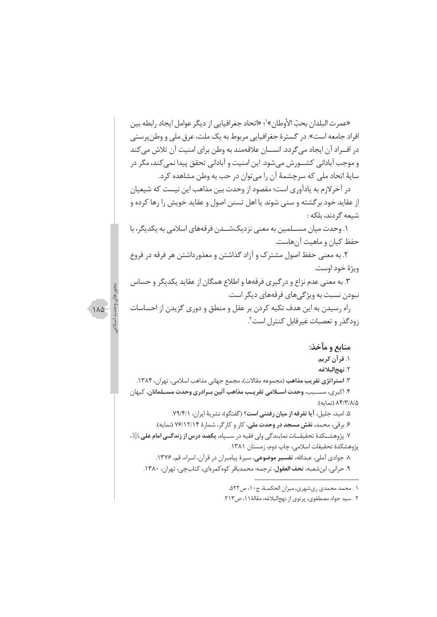«عمرت البلدان بحبّ الأوطان»'؛ «اتحاد جغرافيايي از ديگر عوامل ايجاد رابطه بين افراد جامعه است». در گسترهٔ جغرافیایی مربوط به یک ملت، عرق ملی و وطن پرستی در افــراد آن ايجاد مي گردد. انســـان علاقهمند به وطن براي امنيت آن تلاش مي كند و موجب آبادانی کشــورش میشود. این امنیت و آبادانی تحقق پیدا نمی کند، مگر در سايهٔ اتحاد ملي كه سرچشمهٔ آن را مي توان در حب به وطن مشاهده كرد.

در آخرلازم به یادآوری است؛ مقصود از وحدت بین مذاهب این نیست که شیعیان از عقاید خود برگشته و سنی شوند یا اهل تسنن اصول و عقاید خویش را رها کرده و شيعه گردند، بلكه :

۱. وحدت میان مســلمین به معنی نزدیکشــدن فرقههای اسلامی به یکدیگر، با حفظ کیان و ماهیت آنهاست.

۲. به معنی حفظ اصول مشترک و آزاد گذاشتن و معذورداشتن هر فرقه در فروع ويژهٔ خود اوست.

۳. به معنی عدم نزاع و درگیری فرقهها و اطلاع همگان از عقاید یکدیگر و حساس نبودن نسبت به ویژگی های فرقههای دیگر است.

راه رسیدن به این هدف تکیه کردن بر عقل و منطق و دوری گزیدن از احساسات زودگذر و تعصبات غیرقابل کنترل است".

منابع و مآخذ:

۱. قرآن کريم.

٢. نهج|لبلاغه.

۳. ا**ستراتژی تقریب مذاهب** (مجموعه مقالات)، مجمع جهانی مذاهب اسلامی، تهران، ۱۳۸۴. ۴. اکبری، مســیب، وحدت اســلامی تقریــب مذاهب آئین بــرادری وحدت مســلمانان، کیهان ۸۴/۳/۸/۵ (نمایه).

۵. امید، جلیل، آیا تفرقه از میان رفتنی است؟ (گفتگو)، نشریهٔ ایران، ۷۹/۴/۱.

۶. برقی، محمد، نقش مسجد در وحدت ملی، کار و کارگر، شمارهٔ ۷۶/۱۲/۱۴ (نمایه).

٧. پژوهشـــكدهٔ تحقیقـــات نمایندگی ولی فقیه در ســـپاه، **یکصد درس از زندگــی امام علی** اِﷺ، پژوهشکدهٔ تحقیقات اسلامی، چاپ دوم، زمستان ۱۳۸۱.

٨. جوادي آملي، عبدالله، **تفسير موضوعي**، سيرة پيامبران در قرآن، اسراء، قم، ١٣٧۶. ۹. حراني، ابن شعبه، تحف العقول، ترجمه: محمدباقر كوه كمرهاي، كتابچي، تهران، ١٣٨٠.

۰۱ محمد محمدی ریشهری، میزان الحکمــة، ج ۱۰، ص ۵۲۲.

۲ . سید جواد مصطفوی، پرتوی از نهجالبلاغه، مقالهٔ ۱۱، ص۲۱۳.

 $\Lambda\Delta$